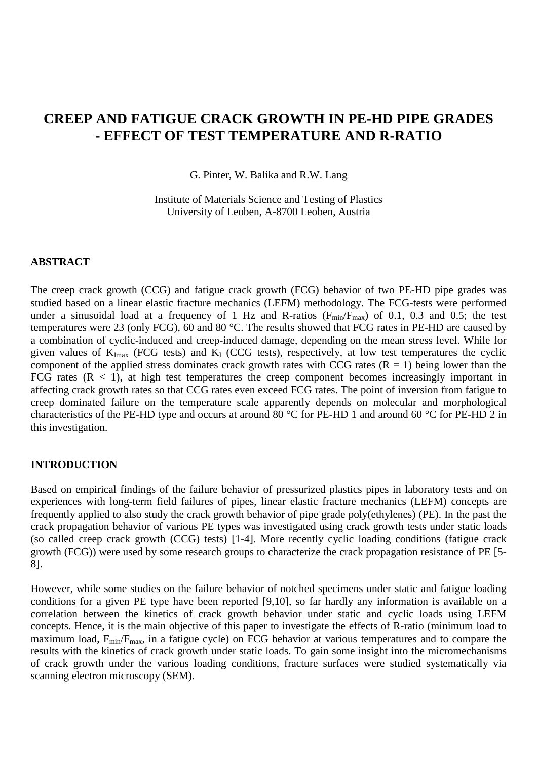# **CREEP AND FATIGUE CRACK GROWTH IN PE-HD PIPE GRADES - EFFECT OF TEST TEMPERATURE AND R-RATIO**

G. Pinter, W. Balika and R.W. Lang

Institute of Materials Science and Testing of Plastics University of Leoben, A-8700 Leoben, Austria

# **ABSTRACT**

The creep crack growth (CCG) and fatigue crack growth (FCG) behavior of two PE-HD pipe grades was studied based on a linear elastic fracture mechanics (LEFM) methodology. The FCG-tests were performed under a sinusoidal load at a frequency of 1 Hz and R-ratios ( $F_{min}/F_{max}$ ) of 0.1, 0.3 and 0.5; the test temperatures were 23 (only FCG), 60 and 80 °C. The results showed that FCG rates in PE-HD are caused by a combination of cyclic-induced and creep-induced damage, depending on the mean stress level. While for given values of  $K_{\text{Imax}}$  (FCG tests) and  $K_I$  (CCG tests), respectively, at low test temperatures the cyclic component of the applied stress dominates crack growth rates with CCG rates  $(R = 1)$  being lower than the FCG rates  $(R < 1)$ , at high test temperatures the creep component becomes increasingly important in affecting crack growth rates so that CCG rates even exceed FCG rates. The point of inversion from fatigue to creep dominated failure on the temperature scale apparently depends on molecular and morphological characteristics of the PE-HD type and occurs at around 80 °C for PE-HD 1 and around 60 °C for PE-HD 2 in this investigation.

## **INTRODUCTION**

Based on empirical findings of the failure behavior of pressurized plastics pipes in laboratory tests and on experiences with long-term field failures of pipes, linear elastic fracture mechanics (LEFM) concepts are frequently applied to also study the crack growth behavior of pipe grade poly(ethylenes) (PE). In the past the crack propagation behavior of various PE types was investigated using crack growth tests under static loads (so called creep crack growth (CCG) tests) [1-4]. More recently cyclic loading conditions (fatigue crack growth (FCG)) were used by some research groups to characterize the crack propagation resistance of PE [5- 8].

However, while some studies on the failure behavior of notched specimens under static and fatigue loading conditions for a given PE type have been reported [9,10], so far hardly any information is available on a correlation between the kinetics of crack growth behavior under static and cyclic loads using LEFM concepts. Hence, it is the main objective of this paper to investigate the effects of R-ratio (minimum load to maximum load,  $F_{min}/F_{max}$ , in a fatigue cycle) on FCG behavior at various temperatures and to compare the results with the kinetics of crack growth under static loads. To gain some insight into the micromechanisms of crack growth under the various loading conditions, fracture surfaces were studied systematically via scanning electron microscopy (SEM).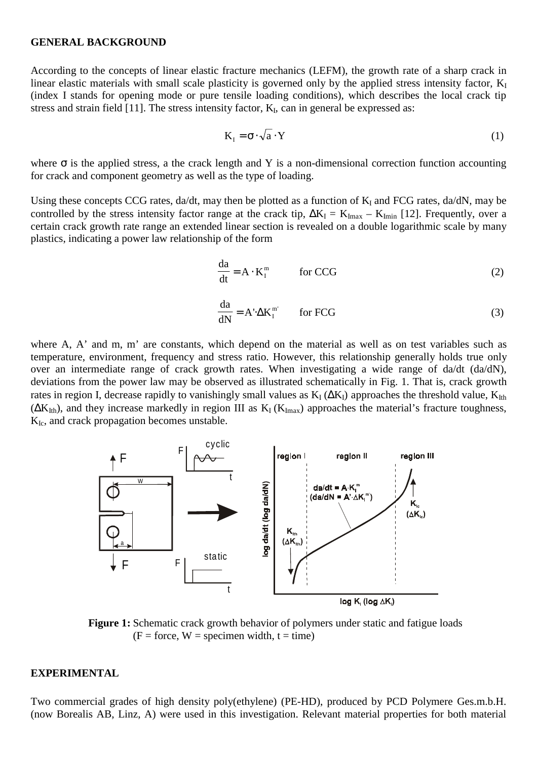#### **GENERAL BACKGROUND**

According to the concepts of linear elastic fracture mechanics (LEFM), the growth rate of a sharp crack in linear elastic materials with small scale plasticity is governed only by the applied stress intensity factor,  $K_I$ (index I stands for opening mode or pure tensile loading conditions), which describes the local crack tip stress and strain field  $[11]$ . The stress intensity factor,  $K_I$ , can in general be expressed as:

$$
K_{I} = \sigma \cdot \sqrt{a} \cdot Y \tag{1}
$$

where  $\sigma$  is the applied stress, a the crack length and Y is a non-dimensional correction function accounting for crack and component geometry as well as the type of loading.

Using these concepts CCG rates,  $da/dt$ , may then be plotted as a function of  $K_I$  and FCG rates,  $da/dN$ , may be controlled by the stress intensity factor range at the crack tip,  $\Delta K_I = K_{Imax} - K_{Imin}$  [12]. Frequently, over a certain crack growth rate range an extended linear section is revealed on a double logarithmic scale by many plastics, indicating a power law relationship of the form

$$
\frac{da}{dt} = A \cdot K_1^m \qquad \text{for CCG}
$$
 (2)

$$
\frac{da}{dN} = A' \Delta K_1^{m'} \qquad \text{for FCG}
$$
 (3)

where A, A' and m, m' are constants, which depend on the material as well as on test variables such as temperature, environment, frequency and stress ratio. However, this relationship generally holds true only over an intermediate range of crack growth rates. When investigating a wide range of da/dt (da/dN), deviations from the power law may be observed as illustrated schematically in Fig. 1. That is, crack growth rates in region I, decrease rapidly to vanishingly small values as  $K_I(\Delta K_I)$  approaches the threshold value,  $K_{I\text{th}}$  $(\Delta K_{Ith})$ , and they increase markedly in region III as K<sub>I</sub> (K<sub>Imax</sub>) approaches the material's fracture toughness,  $K_{Ic}$ , and crack propagation becomes unstable.



**Figure 1:** Schematic crack growth behavior of polymers under static and fatigue loads  $(F = force, W = specimen width, t = time)$ 

#### **EXPERIMENTAL**

Two commercial grades of high density poly(ethylene) (PE-HD), produced by PCD Polymere Ges.m.b.H. (now Borealis AB, Linz, A) were used in this investigation. Relevant material properties for both material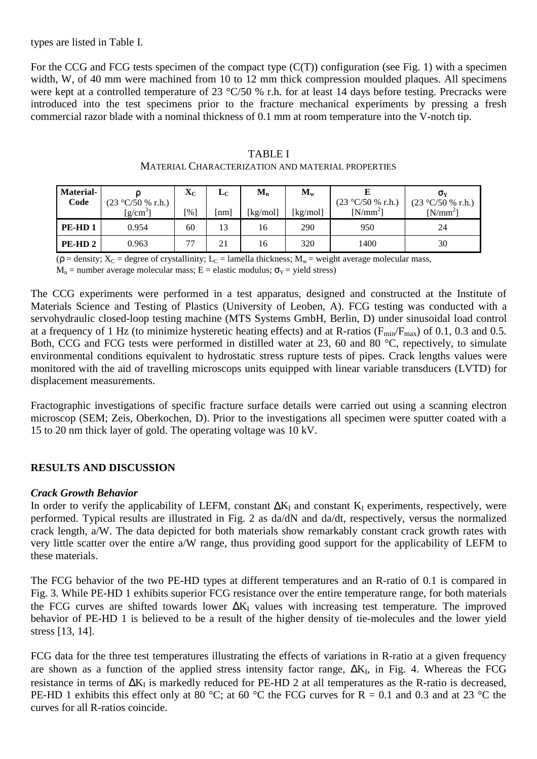# types are listed in Table I.

For the CCG and FCG tests specimen of the compact type  $(C(T))$  configuration (see Fig. 1) with a specimen width, W, of 40 mm were machined from 10 to 12 mm thick compression moulded plaques. All specimens were kept at a controlled temperature of 23 °C/50 % r.h. for at least 14 days before testing. Precracks were introduced into the test specimens prior to the fracture mechanical experiments by pressing a fresh commercial razor blade with a nominal thickness of 0.1 mm at room temperature into the V-notch tip.

| <b>Material-</b><br>Code | $(23 °C/50 %$ r.h.) | $\mathbf{X}_{\mathbf{C}}$ | LC | $M_{n}$  | $M_{w}$  | $(23 °C/50 %$ r.h.) | $\sigma_{\rm v}$<br>$(23 °C/50 %$ r.h.) |
|--------------------------|---------------------|---------------------------|----|----------|----------|---------------------|-----------------------------------------|
|                          | $[g/cm^3]$          | [%]                       | nm | [kg/mol] | [kg/mol] | $[N/mm^2]$          | $[N/mm^2]$                              |
| PE-HD <sub>1</sub>       | 0.954               | 60                        | 13 | 16       | 290      | 950                 | 24                                      |
| PE-HD <sub>2</sub>       | 0.963               | 77                        | 21 | 16       | 320      | 1400                | 30                                      |

| <b>TABLE I</b>                                    |
|---------------------------------------------------|
| MATERIAL CHARACTERIZATION AND MATERIAL PROPERTIES |

( $\rho$  = density;  $X_C$  = degree of crystallinity; L<sub>C</sub> = lamella thickness; M<sub>w</sub> = weight average molecular mass,

 $M_n$  = number average molecular mass; E = elastic modulus;  $\sigma_Y$  = yield stress)

The CCG experiments were performed in a test apparatus, designed and constructed at the Institute of Materials Science and Testing of Plastics (University of Leoben, A). FCG testing was conducted with a servohydraulic closed-loop testing machine (MTS Systems GmbH, Berlin, D) under sinusoidal load control at a frequency of 1 Hz (to minimize hysteretic heating effects) and at R-ratios ( $F_{min}/F_{max}$ ) of 0.1, 0.3 and 0.5. Both, CCG and FCG tests were performed in distilled water at 23, 60 and 80 °C, repectively, to simulate environmental conditions equivalent to hydrostatic stress rupture tests of pipes. Crack lengths values were monitored with the aid of travelling microscops units equipped with linear variable transducers (LVTD) for displacement measurements.

Fractographic investigations of specific fracture surface details were carried out using a scanning electron microscop (SEM; Zeis, Oberkochen, D). Prior to the investigations all specimen were sputter coated with a 15 to 20 nm thick layer of gold. The operating voltage was 10 kV.

# **RESULTS AND DISCUSSION**

# *Crack Growth Behavior*

In order to verify the applicability of LEFM, constant  $\Delta K_I$  and constant K<sub>I</sub> experiments, respectively, were performed. Typical results are illustrated in Fig. 2 as da/dN and da/dt, respectively, versus the normalized crack length, a/W. The data depicted for both materials show remarkably constant crack growth rates with very little scatter over the entire a/W range, thus providing good support for the applicability of LEFM to these materials.

The FCG behavior of the two PE-HD types at different temperatures and an R-ratio of 0.1 is compared in Fig. 3. While PE-HD 1 exhibits superior FCG resistance over the entire temperature range, for both materials the FCG curves are shifted towards lower  $\Delta K_I$  values with increasing test temperature. The improved behavior of PE-HD 1 is believed to be a result of the higher density of tie-molecules and the lower yield stress [13, 14].

FCG data for the three test temperatures illustrating the effects of variations in R-ratio at a given frequency are shown as a function of the applied stress intensity factor range,  $\Delta K_I$ , in Fig. 4. Whereas the FCG resistance in terms of  $\Delta K_I$  is markedly reduced for PE-HD 2 at all temperatures as the R-ratio is decreased, PE-HD 1 exhibits this effect only at 80 °C; at 60 °C the FCG curves for  $R = 0.1$  and 0.3 and at 23 °C the curves for all R-ratios coincide.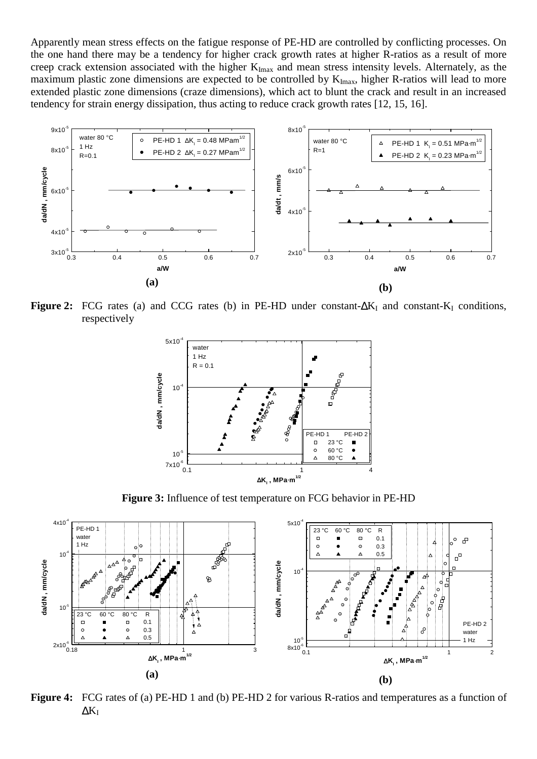Apparently mean stress effects on the fatigue response of PE-HD are controlled by conflicting processes. On the one hand there may be a tendency for higher crack growth rates at higher R-ratios as a result of more creep crack extension associated with the higher  $K_{Imax}$  and mean stress intensity levels. Alternately, as the maximum plastic zone dimensions are expected to be controlled by  $K_{\text{Imax}}$ , higher R-ratios will lead to more extended plastic zone dimensions (craze dimensions), which act to blunt the crack and result in an increased tendency for strain energy dissipation, thus acting to reduce crack growth rates [12, 15, 16].



Figure 2: FCG rates (a) and CCG rates (b) in PE-HD under constant-∆K<sub>I</sub> and constant-K<sub>I</sub> conditions, respectively



**Figure 3:** Influence of test temperature on FCG behavior in PE-HD



**Figure 4:** FCG rates of (a) PE-HD 1 and (b) PE-HD 2 for various R-ratios and temperatures as a function of  $\Delta K_I$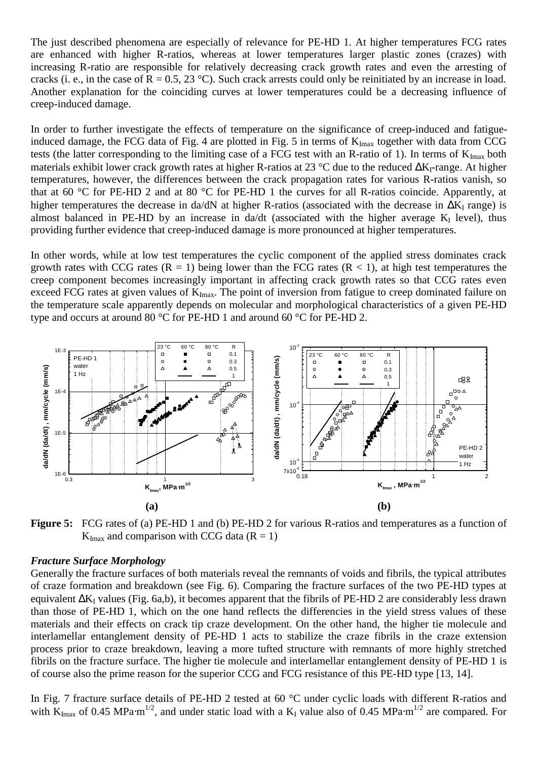The just described phenomena are especially of relevance for PE-HD 1. At higher temperatures FCG rates are enhanced with higher R-ratios, whereas at lower temperatures larger plastic zones (crazes) with increasing R-ratio are responsible for relatively decreasing crack growth rates and even the arresting of cracks (i. e., in the case of  $R = 0.5$ , 23 °C). Such crack arrests could only be reinitiated by an increase in load. Another explanation for the coinciding curves at lower temperatures could be a decreasing influence of creep-induced damage.

In order to further investigate the effects of temperature on the significance of creep-induced and fatigueinduced damage, the FCG data of Fig. 4 are plotted in Fig. 5 in terms of  $K_{\text{Imax}}$  together with data from CCG tests (the latter corresponding to the limiting case of a FCG test with an R-ratio of 1). In terms of  $K_{Imax}$  both materials exhibit lower crack growth rates at higher R-ratios at 23 °C due to the reduced ∆K<sub>I</sub>-range. At higher temperatures, however, the differences between the crack propagation rates for various R-ratios vanish, so that at 60 °C for PE-HD 2 and at 80 °C for PE-HD 1 the curves for all R-ratios coincide. Apparently, at higher temperatures the decrease in da/dN at higher R-ratios (associated with the decrease in  $\Delta K_I$  range) is almost balanced in PE-HD by an increase in da/dt (associated with the higher average  $K_I$  level), thus providing further evidence that creep-induced damage is more pronounced at higher temperatures.

In other words, while at low test temperatures the cyclic component of the applied stress dominates crack growth rates with CCG rates  $(R = 1)$  being lower than the FCG rates  $(R < 1)$ , at high test temperatures the creep component becomes increasingly important in affecting crack growth rates so that CCG rates even exceed FCG rates at given values of  $K_{\text{Imax}}$ . The point of inversion from fatigue to creep dominated failure on the temperature scale apparently depends on molecular and morphological characteristics of a given PE-HD type and occurs at around 80 °C for PE-HD 1 and around 60 °C for PE-HD 2.



**Figure 5:** FCG rates of (a) PE-HD 1 and (b) PE-HD 2 for various R-ratios and temperatures as a function of  $K_{\text{Imax}}$  and comparison with CCG data ( $R = 1$ )

# *Fracture Surface Morphology*

Generally the fracture surfaces of both materials reveal the remnants of voids and fibrils, the typical attributes of craze formation and breakdown (see Fig. 6). Comparing the fracture surfaces of the two PE-HD types at equivalent  $\Delta K_I$  values (Fig. 6a,b), it becomes apparent that the fibrils of PE-HD 2 are considerably less drawn than those of PE-HD 1, which on the one hand reflects the differencies in the yield stress values of these materials and their effects on crack tip craze development. On the other hand, the higher tie molecule and interlamellar entanglement density of PE-HD 1 acts to stabilize the craze fibrils in the craze extension process prior to craze breakdown, leaving a more tufted structure with remnants of more highly stretched fibrils on the fracture surface. The higher tie molecule and interlamellar entanglement density of PE-HD 1 is of course also the prime reason for the superior CCG and FCG resistance of this PE-HD type [13, 14].

In Fig. 7 fracture surface details of PE-HD 2 tested at 60 °C under cyclic loads with different R-ratios and with  $K_{\text{Imax}}$  of 0.45 MPa⋅m<sup>1/2</sup>, and under static load with a K<sub>I</sub> value also of 0.45 MPa⋅m<sup>1/2</sup> are compared. For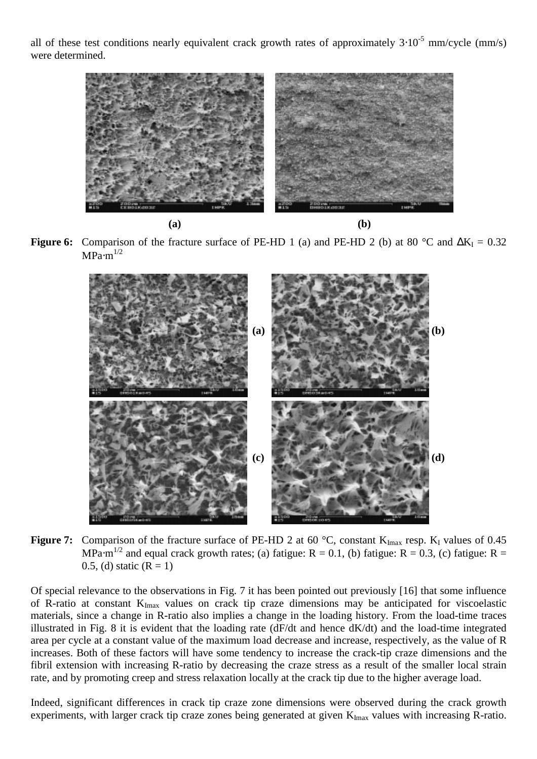all of these test conditions nearly equivalent crack growth rates of approximately  $3·10^{-5}$  mm/cycle (mm/s) were determined.



**(a) (b)**

**Figure 6:** Comparison of the fracture surface of PE-HD 1 (a) and PE-HD 2 (b) at 80 °C and  $\Delta K_I = 0.32$  $MPa·m^{1/2}$ 



**Figure 7:** Comparison of the fracture surface of PE-HD 2 at 60 °C, constant K<sub>Imax</sub> resp. K<sub>I</sub> values of 0.45 MPa $\cdot$ m<sup>1/2</sup> and equal crack growth rates; (a) fatigue: R = 0.1, (b) fatigue: R = 0.3, (c) fatigue: R = 0.5, (d) static  $(R = 1)$ 

Of special relevance to the observations in Fig. 7 it has been pointed out previously [16] that some influence of R-ratio at constant  $K_{Imax}$  values on crack tip craze dimensions may be anticipated for viscoelastic materials, since a change in R-ratio also implies a change in the loading history. From the load-time traces illustrated in Fig. 8 it is evident that the loading rate (dF/dt and hence dK/dt) and the load-time integrated area per cycle at a constant value of the maximum load decrease and increase, respectively, as the value of R increases. Both of these factors will have some tendency to increase the crack-tip craze dimensions and the fibril extension with increasing R-ratio by decreasing the craze stress as a result of the smaller local strain rate, and by promoting creep and stress relaxation locally at the crack tip due to the higher average load.

Indeed, significant differences in crack tip craze zone dimensions were observed during the crack growth experiments, with larger crack tip craze zones being generated at given  $K_{\text{Imax}}$  values with increasing R-ratio.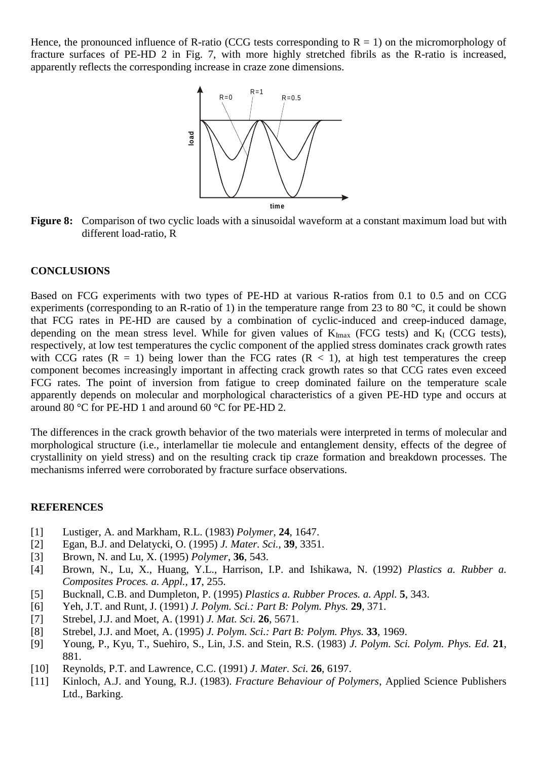Hence, the pronounced influence of R-ratio (CCG tests corresponding to  $R = 1$ ) on the micromorphology of fracture surfaces of PE-HD 2 in Fig. 7, with more highly stretched fibrils as the R-ratio is increased, apparently reflects the corresponding increase in craze zone dimensions.



**Figure 8:** Comparison of two cyclic loads with a sinusoidal waveform at a constant maximum load but with different load-ratio, R

#### **CONCLUSIONS**

Based on FCG experiments with two types of PE-HD at various R-ratios from 0.1 to 0.5 and on CCG experiments (corresponding to an R-ratio of 1) in the temperature range from 23 to 80 °C, it could be shown that FCG rates in PE-HD are caused by a combination of cyclic-induced and creep-induced damage, depending on the mean stress level. While for given values of  $K_{\text{Imax}}$  (FCG tests) and  $K_{\text{I}}$  (CCG tests), respectively, at low test temperatures the cyclic component of the applied stress dominates crack growth rates with CCG rates  $(R = 1)$  being lower than the FCG rates  $(R < 1)$ , at high test temperatures the creep component becomes increasingly important in affecting crack growth rates so that CCG rates even exceed FCG rates. The point of inversion from fatigue to creep dominated failure on the temperature scale apparently depends on molecular and morphological characteristics of a given PE-HD type and occurs at around 80 °C for PE-HD 1 and around 60 °C for PE-HD 2.

The differences in the crack growth behavior of the two materials were interpreted in terms of molecular and morphological structure (i.e., interlamellar tie molecule and entanglement density, effects of the degree of crystallinity on yield stress) and on the resulting crack tip craze formation and breakdown processes. The mechanisms inferred were corroborated by fracture surface observations.

### **REFERENCES**

- [1] Lustiger, A. and Markham, R.L. (1983) *Polymer*, **24**, 1647.
- [2] Egan, B.J. and Delatycki, O. (1995) *J. Mater. Sci.,* **39**, 3351.
- [3] Brown, N. and Lu, X. (1995) *Polymer*, **36**, 543.
- [4] Brown, N., Lu, X., Huang, Y.L., Harrison, I.P. and Ishikawa, N. (1992) *Plastics a. Rubber a. Composites Proces. a. Appl.,* **17**, 255.
- [5] Bucknall, C.B. and Dumpleton, P. (1995) *Plastics a. Rubber Proces. a. Appl.* **5**, 343.
- [6] Yeh, J.T. and Runt, J. (1991) *J. Polym. Sci.: Part B: Polym. Phys.* **29**, 371.
- [7] Strebel, J.J. and Moet, A. (1991) *J. Mat. Sci.* **26**, 5671.
- [8] Strebel, J.J. and Moet, A. (1995) *J. Polym. Sci.: Part B: Polym. Phys.* **33**, 1969.
- [9] Young, P., Kyu, T., Suehiro, S., Lin, J.S. and Stein, R.S. (1983) *J. Polym. Sci. Polym. Phys. Ed.* **21**, 881.
- [10] Reynolds, P.T. and Lawrence, C.C. (1991) *J. Mater. Sci.* **26**, 6197.
- [11] Kinloch, A.J. and Young, R.J. (1983). *Fracture Behaviour of Polymers*, Applied Science Publishers Ltd., Barking.